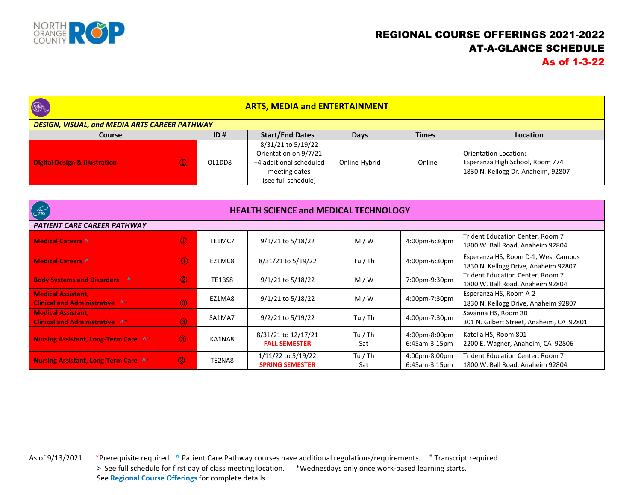

## REGIONAL COURSE OFFERINGS 2021-2022 AT-A-GLANCE SCHEDULE As of 1-3-22

| <b>BA</b><br><b>ARTS, MEDIA and ENTERTAINMENT</b>    |          |        |                                                                                                                |               |              |                                                                                                |  |  |
|------------------------------------------------------|----------|--------|----------------------------------------------------------------------------------------------------------------|---------------|--------------|------------------------------------------------------------------------------------------------|--|--|
| <b>DESIGN, VISUAL, and MEDIA ARTS CAREER PATHWAY</b> |          |        |                                                                                                                |               |              |                                                                                                |  |  |
| <b>Course</b>                                        |          | ID#    | <b>Start/End Dates</b>                                                                                         | <b>Days</b>   | <b>Times</b> | <b>Location</b>                                                                                |  |  |
| <b>Digital Design &amp; Illustration</b>             | $\Omega$ | OL1DD8 | 8/31/21 to 5/19/22<br>Orientation on 9/7/21<br>+4 additional scheduled<br>meeting dates<br>(see full schedule) | Online-Hybrid | Online       | Orientation Location:<br>Esperanza High School, Room 774<br>1830 N. Kellogg Dr. Anaheim, 92807 |  |  |

| $\infty$                                                           | <b>HEALTH SCIENCE and MEDICAL TECHNOLOGY</b> |        |                                              |                |                                   |                                                                             |  |
|--------------------------------------------------------------------|----------------------------------------------|--------|----------------------------------------------|----------------|-----------------------------------|-----------------------------------------------------------------------------|--|
| <b>PATIENT CARE CAREER PATHWAY</b>                                 |                                              |        |                                              |                |                                   |                                                                             |  |
| <b>Medical Careers A</b>                                           | $\circled{1}$                                | TE1MC7 | $9/1/21$ to $5/18/22$                        | M/W            | 4:00pm-6:30pm                     | Trident Education Center, Room 7<br>1800 W. Ball Road, Anaheim 92804        |  |
| <b>Medical Careers A</b>                                           | $\circled{1}$                                | EZ1MC8 | 8/31/21 to 5/19/22                           | Tu / Th        | 4:00pm-6:30pm                     | Esperanza HS, Room D-1, West Campus<br>1830 N. Kellogg Drive, Anaheim 92807 |  |
| <b>Body Systems and Disorders A</b>                                | $\circledcirc$                               | TE1BS8 | 9/1/21 to 5/18/22                            | M/W            | 7:00pm-9:30pm                     | Trident Education Center, Room 7<br>1800 W. Ball Road, Anaheim 92804        |  |
| <b>Medical Assistant,</b><br><b>Clinical and Administrative A+</b> | $\circledcirc$                               | EZ1MA8 | $9/1/21$ to $5/18/22$                        | M/W            | 4:00pm-7:30pm                     | Esperanza HS, Room A-2<br>1830 N. Kellogg Drive, Anaheim 92807              |  |
| <b>Medical Assistant,</b><br><b>Clinical and Administrative A+</b> | $\circled{3}$                                | SA1MA7 | 9/2/21 to 5/19/22                            | Tu / Th        | 4:00pm-7:30pm                     | Savanna HS, Room 30<br>301 N. Gilbert Street, Anaheim, CA 92801             |  |
| <b>Nursing Assistant, Long-Term Care A+</b>                        | $\circled{3}$                                | KA1NA8 | 8/31/21 to 12/17/21<br><b>FALL SEMESTER</b>  | Tu / Th<br>Sat | 4:00pm-8:00pm<br>$6:45$ am-3:15pm | Katella HS, Room 801<br>2200 E. Wagner, Anaheim, CA 92806                   |  |
| <b>Nursing Assistant, Long-Term Care A+</b>                        | <b>3</b>                                     | TE2NA8 | 1/11/22 to 5/19/22<br><b>SPRING SEMESTER</b> | Tu / Th<br>Sat | 4:00pm-8:00pm<br>$6:45$ am-3:15pm | Trident Education Center, Room 7<br>1800 W. Ball Road, Anaheim 92804        |  |

As of 9/13/2021 \*Prerequisite required. **^** Patient Care Pathway courses have additional regulations/requirements. **<sup>+</sup>** Transcript required. > See full schedule for first day of class meeting location. \*Wednesdays only once work-based learning starts. See **Regional Course Offerings** for complete details.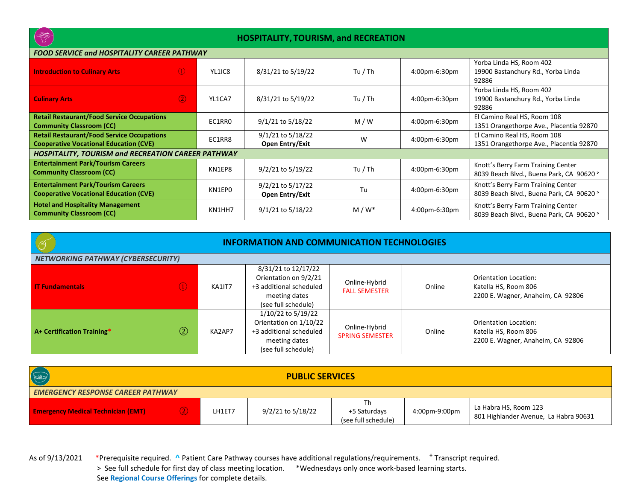

## **HOSPITALITY, TOURISM, and RECREATION**

| FOOD SERVICE UNU HOSPITALITT CAREER PATHWAT                                                        |        |                                      |         |               |                                                                                |  |  |
|----------------------------------------------------------------------------------------------------|--------|--------------------------------------|---------|---------------|--------------------------------------------------------------------------------|--|--|
| $\circled{1}$<br><b>Introduction to Culinary Arts</b>                                              | YL1IC8 | 8/31/21 to 5/19/22                   | Tu / Th | 4:00pm-6:30pm | Yorba Linda HS, Room 402<br>19900 Bastanchury Rd., Yorba Linda<br>92886        |  |  |
| $\circled{2}$<br><b>Culinary Arts</b>                                                              | YL1CA7 | 8/31/21 to 5/19/22                   | Tu / Th | 4:00pm-6:30pm | Yorba Linda HS, Room 402<br>19900 Bastanchury Rd., Yorba Linda<br>92886        |  |  |
| <b>Retail Restaurant/Food Service Occupations</b><br><b>Community Classroom (CC)</b>               | EC1RRO | 9/1/21 to 5/18/22                    | M/W     | 4:00pm-6:30pm | El Camino Real HS, Room 108<br>1351 Orangethorpe Ave., Placentia 92870         |  |  |
| <b>Retail Restaurant/Food Service Occupations</b><br><b>Cooperative Vocational Education (CVE)</b> | EC1RR8 | 9/1/21 to 5/18/22<br>Open Entry/Exit | W       | 4:00pm-6:30pm | El Camino Real HS, Room 108<br>1351 Orangethorpe Ave., Placentia 92870         |  |  |
| <b>HOSPITALITY, TOURISM and RECREATION CAREER PATHWAY</b>                                          |        |                                      |         |               |                                                                                |  |  |
| <b>Entertainment Park/Tourism Careers</b><br><b>Community Classroom (CC)</b>                       | KN1EP8 | 9/2/21 to 5/19/22                    | Tu / Th | 4:00pm-6:30pm | Knott's Berry Farm Training Center<br>8039 Beach Blvd., Buena Park, CA 90620 > |  |  |
| <b>Entertainment Park/Tourism Careers</b><br><b>Cooperative Vocational Education (CVE)</b>         | KN1EP0 | 9/2/21 to 5/17/22<br>Open Entry/Exit | Tu      | 4:00pm-6:30pm | Knott's Berry Farm Training Center<br>8039 Beach Blvd., Buena Park, CA 90620 > |  |  |
| <b>Hotel and Hospitality Management</b><br><b>Community Classroom (CC)</b>                         | KN1HH7 | 9/1/21 to 5/18/22                    | $M/W^*$ | 4:00pm-6:30pm | Knott's Berry Farm Training Center<br>8039 Beach Blvd., Buena Park, CA 90620 > |  |  |

| <b>INFORMATION AND COMMUNICATION TECHNOLOGIES</b> |                                           |        |                                                                                                                 |                                         |        |                                                                                    |  |  |
|---------------------------------------------------|-------------------------------------------|--------|-----------------------------------------------------------------------------------------------------------------|-----------------------------------------|--------|------------------------------------------------------------------------------------|--|--|
|                                                   | <b>NETWORKING PATHWAY (CYBERSECURITY)</b> |        |                                                                                                                 |                                         |        |                                                                                    |  |  |
| <b>IT Fundamentals</b>                            | $\left( \mathbf{D} \right)$               | KA1IT7 | 8/31/21 to 12/17/22<br>Orientation on 9/2/21<br>+3 additional scheduled<br>meeting dates<br>(see full schedule) | Online-Hybrid<br><b>FALL SEMESTER</b>   | Online | Orientation Location:<br>Katella HS, Room 806<br>2200 E. Wagner, Anaheim, CA 92806 |  |  |
| A+ Certification Training*                        | $\circled{2}$                             | KA2AP7 | 1/10/22 to 5/19/22<br>Orientation on 1/10/22<br>+3 additional scheduled<br>meeting dates<br>(see full schedule) | Online-Hybrid<br><b>SPRING SEMESTER</b> | Online | Orientation Location:<br>Katella HS, Room 806<br>2200 E. Wagner, Anaheim, CA 92806 |  |  |

| $\circledast$                             | <b>PUBLIC SERVICES</b> |        |                   |                                           |               |                                                                |  |
|-------------------------------------------|------------------------|--------|-------------------|-------------------------------------------|---------------|----------------------------------------------------------------|--|
| <b>EMERGENCY RESPONSE CAREER PATHWAY</b>  |                        |        |                   |                                           |               |                                                                |  |
| <b>Emergency Medical Technician (EMT)</b> | $\bigcirc$             | LH1ET7 | 9/2/21 to 5/18/22 | Th<br>+5 Saturdays<br>(see full schedule) | 4:00pm-9:00pm | La Habra HS, Room 123<br>801 Highlander Avenue, La Habra 90631 |  |

As of 9/13/2021 \*Prerequisite required. **^** Patient Care Pathway courses have additional regulations/requirements. **<sup>+</sup>** Transcript required. > See full schedule for first day of class meeting location. \*Wednesdays only once work-based learning starts. See **Regional Course Offerings** for complete details.